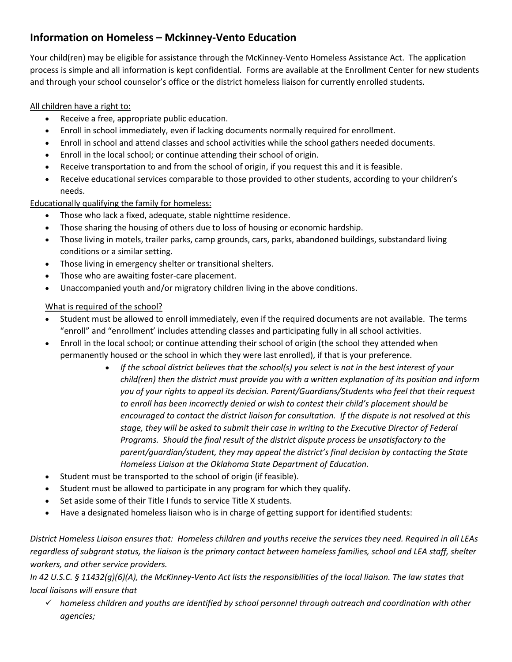## **Information on Homeless – Mckinney-Vento Education**

Your child(ren) may be eligible for assistance through the McKinney-Vento Homeless Assistance Act. The application process is simple and all information is kept confidential. Forms are available at the Enrollment Center for new students and through your school counselor's office or the district homeless liaison for currently enrolled students.

## All children have a right to:

- Receive a free, appropriate public education.
- Enroll in school immediately, even if lacking documents normally required for enrollment.
- Enroll in school and attend classes and school activities while the school gathers needed documents.
- Enroll in the local school; or continue attending their school of origin.
- Receive transportation to and from the school of origin, if you request this and it is feasible.
- Receive educational services comparable to those provided to other students, according to your children's needs.

Educationally qualifying the family for homeless:

- Those who lack a fixed, adequate, stable nighttime residence.
- Those sharing the housing of others due to loss of housing or economic hardship.
- Those living in motels, trailer parks, camp grounds, cars, parks, abandoned buildings, substandard living conditions or a similar setting.
- Those living in emergency shelter or transitional shelters.
- Those who are awaiting foster-care placement.
- Unaccompanied youth and/or migratory children living in the above conditions.

## What is required of the school?

- Student must be allowed to enroll immediately, even if the required documents are not available. The terms "enroll" and "enrollment' includes attending classes and participating fully in all school activities.
- Enroll in the local school; or continue attending their school of origin (the school they attended when permanently housed or the school in which they were last enrolled), if that is your preference.
	- *If the school district believes that the school(s) you select is not in the best interest of your child(ren) then the district must provide you with a written explanation of its position and inform you of your rights to appeal its decision. Parent/Guardians/Students who feel that their request to enroll has been incorrectly denied or wish to contest their child's placement should be encouraged to contact the district liaison for consultation. If the dispute is not resolved at this stage, they will be asked to submit their case in writing to the Executive Director of Federal Programs. Should the final result of the district dispute process be unsatisfactory to the parent/guardian/student, they may appeal the district's final decision by contacting the State Homeless Liaison at the Oklahoma State Department of Education.*
- Student must be transported to the school of origin (if feasible).
- Student must be allowed to participate in any program for which they qualify.
- Set aside some of their Title I funds to service Title X students.
- Have a designated homeless liaison who is in charge of getting support for identified students:

*District Homeless Liaison ensures that: Homeless children and youths receive the services they need. Required in all LEAs regardless of subgrant status, the liaison is the primary contact between homeless families, school and LEA staff, shelter workers, and other service providers.* 

*In 42 U.S.C. § 11432(g)(6)(A), the McKinney-Vento Act lists the responsibilities of the local liaison. The law states that local liaisons will ensure that*

 *homeless children and youths are identified by school personnel through outreach and coordination with other agencies;*